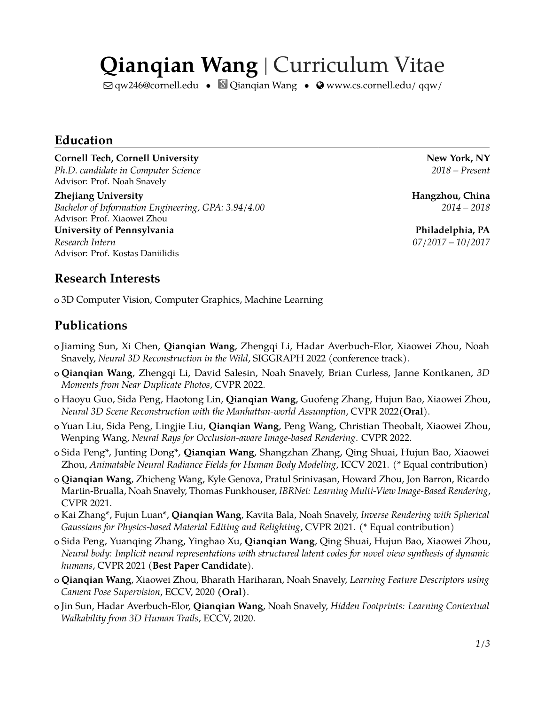# **Qianqian Wang** | Curriculum Vitae

 $\boxdot$  [qw246@cornell.edu](mailto:qw246@cornell.edu) •  $\Box$  [Qianqian Wang](https://scholar.google.com/citations?user=VdmfIeUAAAAJ&hl) •  $\odot$  [www.cs.cornell.edu/ qqw/](http://www.cs.cornell.edu/~qqw/)

#### **Education**

#### **Cornell Tech, Cornell University According to the Cornell Tech, NY** New York, NY

*Ph.D. candidate in Computer Science 2018 – Present* Advisor: Prof. Noah Snavely

**Zhejiang University Hangzhou, China** *Bachelor of Information Engineering, GPA: 3.94/4.00 2014 – 2018* Advisor: Prof. Xiaowei Zhou

**University of Pennsylvania Philadelphia, PA** *Research Intern 07/2017 – 10/2017* Advisor: Prof. Kostas Daniilidis

#### **Research Interests**

<sup>+</sup> 3D Computer Vision, Computer Graphics, Machine Learning

#### **Publications**

- <sup>+</sup> Jiaming Sun, Xi Chen, **Qianqian Wang**, Zhengqi Li, Hadar Averbuch-Elor, Xiaowei Zhou, Noah Snavely, *Neural 3D Reconstruction in the Wild*, SIGGRAPH 2022 (conference track).
- <sup>+</sup> **Qianqian Wang**, Zhengqi Li, David Salesin, Noah Snavely, Brian Curless, Janne Kontkanen, *3D Moments from Near Duplicate Photos*, CVPR 2022.
- <sup>+</sup> Haoyu Guo, Sida Peng, Haotong Lin, **Qianqian Wang**, Guofeng Zhang, Hujun Bao, Xiaowei Zhou, *Neural 3D Scene Reconstruction with the Manhattan-world Assumption*, CVPR 2022(**Oral**).
- <sup>+</sup> Yuan Liu, Sida Peng, Lingjie Liu, **Qianqian Wang**, Peng Wang, Christian Theobalt, Xiaowei Zhou, Wenping Wang, *Neural Rays for Occlusion-aware Image-based Rendering*. CVPR 2022.
- <sup>+</sup> Sida Peng\*, Junting Dong\*, **Qianqian Wang**, Shangzhan Zhang, Qing Shuai, Hujun Bao, Xiaowei Zhou, *Animatable Neural Radiance Fields for Human Body Modeling*, ICCV 2021. (\* Equal contribution)
- <sup>+</sup> **Qianqian Wang**, Zhicheng Wang, Kyle Genova, Pratul Srinivasan, Howard Zhou, Jon Barron, Ricardo Martin-Brualla, Noah Snavely, Thomas Funkhouser, *IBRNet: Learning Multi-View Image-Based Rendering*, CVPR 2021.
- <sup>+</sup> Kai Zhang\*, Fujun Luan\*, **Qianqian Wang**, Kavita Bala, Noah Snavely, *Inverse Rendering with Spherical Gaussians for Physics-based Material Editing and Relighting*, CVPR 2021. (\* Equal contribution)
- <sup>+</sup> Sida Peng, Yuanqing Zhang, Yinghao Xu, **Qianqian Wang**, Qing Shuai, Hujun Bao, Xiaowei Zhou, *Neural body: Implicit neural representations with structured latent codes for novel view synthesis of dynamic humans*, CVPR 2021 (**Best Paper Candidate**).
- <sup>+</sup> **Qianqian Wang**, Xiaowei Zhou, Bharath Hariharan, Noah Snavely, *Learning Feature Descriptors using Camera Pose Supervision*, ECCV, 2020 **(Oral)**.
- <sup>+</sup> Jin Sun, Hadar Averbuch-Elor, **Qianqian Wang**, Noah Snavely, *Hidden Footprints: Learning Contextual Walkability from 3D Human Trails*, ECCV, 2020.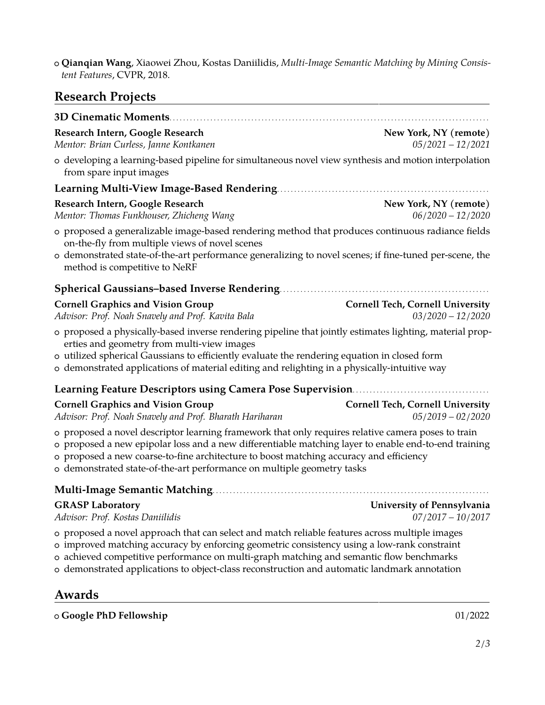<sup>+</sup> **Qianqian Wang**, Xiaowei Zhou, Kostas Daniilidis, *Multi-Image Semantic Matching by Mining Consistent Features*, CVPR, 2018.

### **Research Projects**

| 3D Cinematic Moments                                                                                                                                                                                                                                                                                                                                                                     |                                                                |
|------------------------------------------------------------------------------------------------------------------------------------------------------------------------------------------------------------------------------------------------------------------------------------------------------------------------------------------------------------------------------------------|----------------------------------------------------------------|
| Research Intern, Google Research<br>Mentor: Brian Curless, Janne Kontkanen                                                                                                                                                                                                                                                                                                               | New York, NY (remote)<br>$05/2021 - 12/2021$                   |
| o developing a learning-based pipeline for simultaneous novel view synthesis and motion interpolation<br>from spare input images                                                                                                                                                                                                                                                         |                                                                |
| Learning Multi-View Image-Based Rendering.                                                                                                                                                                                                                                                                                                                                               |                                                                |
| Research Intern, Google Research<br>Mentor: Thomas Funkhouser, Zhicheng Wang                                                                                                                                                                                                                                                                                                             | New York, NY (remote)<br>$06/2020 - 12/2020$                   |
| o proposed a generalizable image-based rendering method that produces continuous radiance fields<br>on-the-fly from multiple views of novel scenes<br>o demonstrated state-of-the-art performance generalizing to novel scenes; if fine-tuned per-scene, the                                                                                                                             |                                                                |
| method is competitive to NeRF                                                                                                                                                                                                                                                                                                                                                            |                                                                |
| <b>Spherical Gaussians-based Inverse Rendering.</b>                                                                                                                                                                                                                                                                                                                                      |                                                                |
| <b>Cornell Graphics and Vision Group</b><br>Advisor: Prof. Noah Snavely and Prof. Kavita Bala                                                                                                                                                                                                                                                                                            | <b>Cornell Tech, Cornell University</b><br>$03/2020 - 12/2020$ |
| o proposed a physically-based inverse rendering pipeline that jointly estimates lighting, material prop-<br>erties and geometry from multi-view images<br>o utilized spherical Gaussians to efficiently evaluate the rendering equation in closed form<br>o demonstrated applications of material editing and relighting in a physically-intuitive way                                   |                                                                |
| Learning Feature Descriptors using Camera Pose Supervision                                                                                                                                                                                                                                                                                                                               |                                                                |
| <b>Cornell Graphics and Vision Group</b><br>Advisor: Prof. Noah Snavely and Prof. Bharath Hariharan                                                                                                                                                                                                                                                                                      | <b>Cornell Tech, Cornell University</b><br>$05/2019 - 02/2020$ |
| o proposed a novel descriptor learning framework that only requires relative camera poses to train<br>o proposed a new epipolar loss and a new differentiable matching layer to enable end-to-end training<br>o proposed a new coarse-to-fine architecture to boost matching accuracy and efficiency<br>o demonstrated state-of-the-art performance on multiple geometry tasks           |                                                                |
| <b>Multi-Image Semantic Matching</b>                                                                                                                                                                                                                                                                                                                                                     |                                                                |
| <b>GRASP Laboratory</b><br>Advisor: Prof. Kostas Daniilidis                                                                                                                                                                                                                                                                                                                              | University of Pennsylvania<br>$07/2017 - 10/2017$              |
| o proposed a novel approach that can select and match reliable features across multiple images<br>o improved matching accuracy by enforcing geometric consistency using a low-rank constraint<br>o achieved competitive performance on multi-graph matching and semantic flow benchmarks<br>o demonstrated applications to object-class reconstruction and automatic landmark annotation |                                                                |
| Awards                                                                                                                                                                                                                                                                                                                                                                                   |                                                                |
| o Google PhD Fellowship                                                                                                                                                                                                                                                                                                                                                                  | 01/2022                                                        |